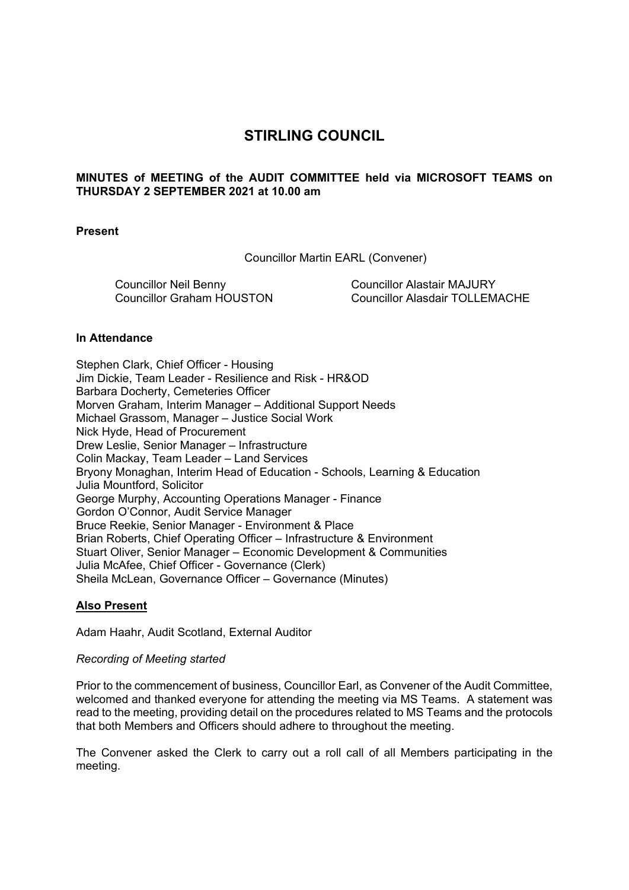# **STIRLING COUNCIL**

# **MINUTES of MEETING of the AUDIT COMMITTEE held via MICROSOFT TEAMS on THURSDAY 2 SEPTEMBER 2021 at 10.00 am**

#### **Present**

Councillor Martin EARL (Convener)

Councillor Neil Benny Councillor Graham HOUSTON Councillor Alastair MAJURY Councillor Alasdair TOLLEMACHE

#### **In Attendance**

Stephen Clark, Chief Officer - Housing Jim Dickie, Team Leader - Resilience and Risk - HR&OD Barbara Docherty, Cemeteries Officer Morven Graham, Interim Manager – Additional Support Needs Michael Grassom, Manager – Justice Social Work Nick Hyde, Head of Procurement Drew Leslie, Senior Manager – Infrastructure Colin Mackay, Team Leader – Land Services Bryony Monaghan, Interim Head of Education - Schools, Learning & Education Julia Mountford, Solicitor George Murphy, Accounting Operations Manager - Finance Gordon O'Connor, Audit Service Manager Bruce Reekie, Senior Manager - Environment & Place Brian Roberts, Chief Operating Officer – Infrastructure & Environment Stuart Oliver, Senior Manager – Economic Development & Communities Julia McAfee, Chief Officer - Governance (Clerk) Sheila McLean, Governance Officer – Governance (Minutes)

#### **Also Present**

Adam Haahr, Audit Scotland, External Auditor

#### *Recording of Meeting started*

Prior to the commencement of business, Councillor Earl, as Convener of the Audit Committee, welcomed and thanked everyone for attending the meeting via MS Teams. A statement was read to the meeting, providing detail on the procedures related to MS Teams and the protocols that both Members and Officers should adhere to throughout the meeting.

The Convener asked the Clerk to carry out a roll call of all Members participating in the meeting.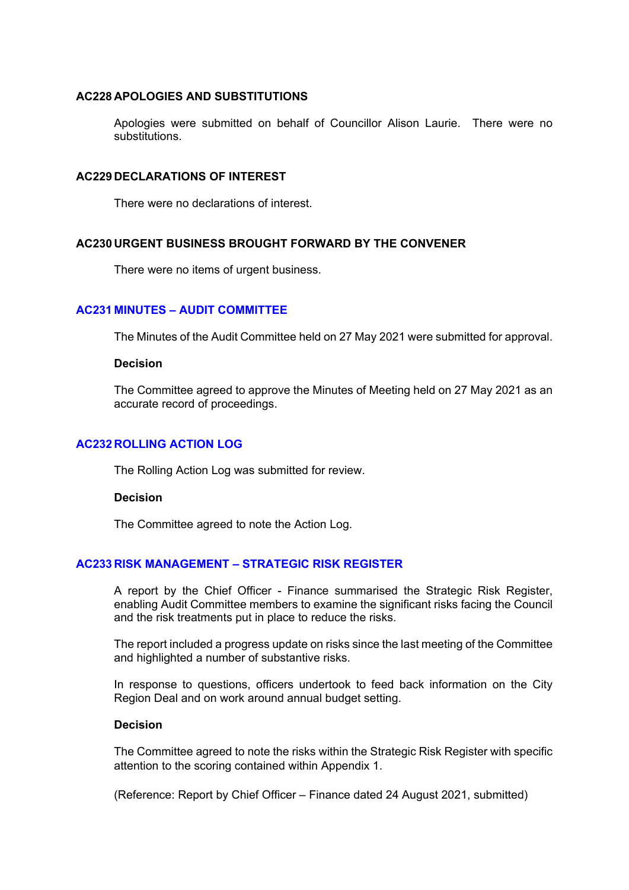## **AC228 APOLOGIES AND SUBSTITUTIONS**

Apologies were submitted on behalf of Councillor Alison Laurie. There were no substitutions.

#### **AC229 DECLARATIONS OF INTEREST**

There were no declarations of interest.

### **AC230 URGENT BUSINESS BROUGHT FORWARD BY THE CONVENER**

There were no items of urgent business.

### **AC231 MINUTES – AUDIT COMMITTEE**

The Minutes of the Audit Committee held on 27 May 2021 were submitted for approval.

#### **Decision**

The Committee agreed to approve the Minutes of Meeting held on 27 May 2021 as an accurate record of proceedings.

#### **AC232 ROLLING ACTION LOG**

The Rolling Action Log was submitted for review.

#### **Decision**

The Committee agreed to note the Action Log.

#### **AC233 RISK MANAGEMENT – STRATEGIC RISK REGISTER**

A report by the Chief Officer - Finance summarised the Strategic Risk Register, enabling Audit Committee members to examine the significant risks facing the Council and the risk treatments put in place to reduce the risks.

The report included a progress update on risks since the last meeting of the Committee and highlighted a number of substantive risks.

In response to questions, officers undertook to feed back information on the City Region Deal and on work around annual budget setting.

## **Decision**

The Committee agreed to note the risks within the Strategic Risk Register with specific attention to the scoring contained within Appendix 1.

(Reference: Report by Chief Officer – Finance dated 24 August 2021, submitted)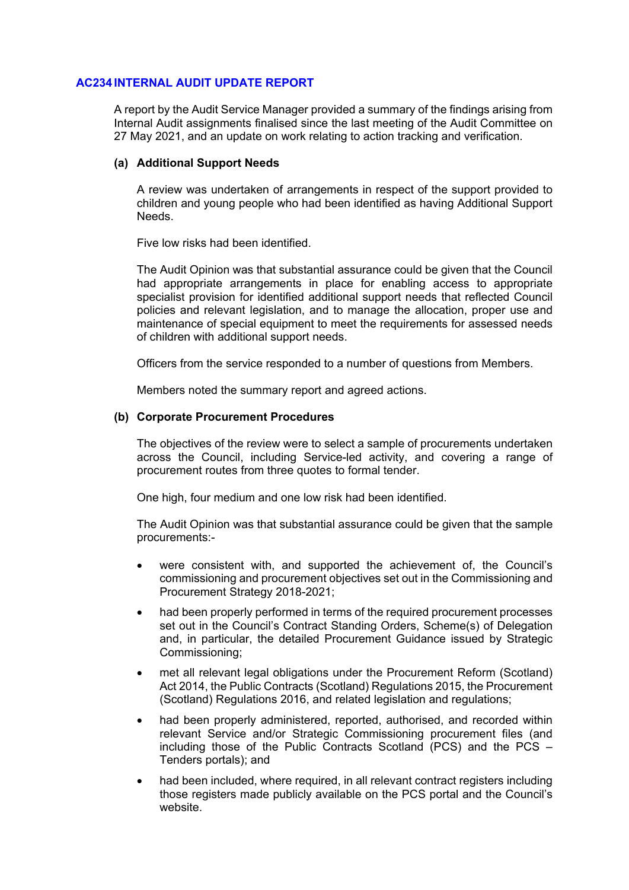## **AC234 INTERNAL AUDIT UPDATE REPORT**

A report by the Audit Service Manager provided a summary of the findings arising from Internal Audit assignments finalised since the last meeting of the Audit Committee on 27 May 2021, and an update on work relating to action tracking and verification.

### **(a) Additional Support Needs**

A review was undertaken of arrangements in respect of the support provided to children and young people who had been identified as having Additional Support Needs.

Five low risks had been identified.

The Audit Opinion was that substantial assurance could be given that the Council had appropriate arrangements in place for enabling access to appropriate specialist provision for identified additional support needs that reflected Council policies and relevant legislation, and to manage the allocation, proper use and maintenance of special equipment to meet the requirements for assessed needs of children with additional support needs.

Officers from the service responded to a number of questions from Members.

Members noted the summary report and agreed actions.

## **(b) Corporate Procurement Procedures**

The objectives of the review were to select a sample of procurements undertaken across the Council, including Service-led activity, and covering a range of procurement routes from three quotes to formal tender.

One high, four medium and one low risk had been identified.

The Audit Opinion was that substantial assurance could be given that the sample procurements:-

- were consistent with, and supported the achievement of, the Council's commissioning and procurement objectives set out in the Commissioning and Procurement Strategy 2018-2021;
- had been properly performed in terms of the required procurement processes set out in the Council's Contract Standing Orders, Scheme(s) of Delegation and, in particular, the detailed Procurement Guidance issued by Strategic Commissioning;
- met all relevant legal obligations under the Procurement Reform (Scotland) Act 2014, the Public Contracts (Scotland) Regulations 2015, the Procurement (Scotland) Regulations 2016, and related legislation and regulations;
- had been properly administered, reported, authorised, and recorded within relevant Service and/or Strategic Commissioning procurement files (and including those of the Public Contracts Scotland (PCS) and the PCS – Tenders portals); and
- had been included, where required, in all relevant contract registers including those registers made publicly available on the PCS portal and the Council's website.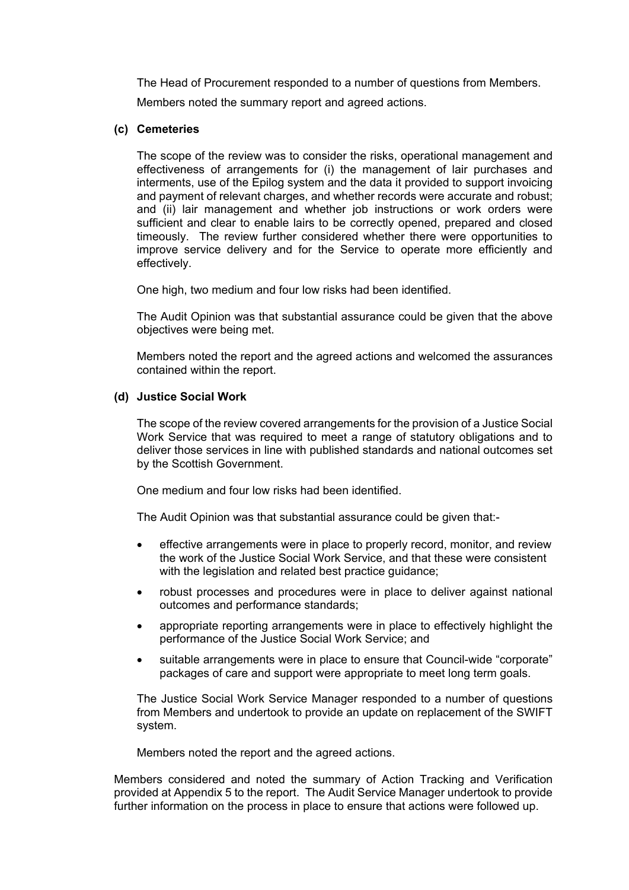The Head of Procurement responded to a number of questions from Members.

Members noted the summary report and agreed actions.

## **(c) Cemeteries**

The scope of the review was to consider the risks, operational management and effectiveness of arrangements for (i) the management of lair purchases and interments, use of the Epilog system and the data it provided to support invoicing and payment of relevant charges, and whether records were accurate and robust; and (ii) lair management and whether job instructions or work orders were sufficient and clear to enable lairs to be correctly opened, prepared and closed timeously. The review further considered whether there were opportunities to improve service delivery and for the Service to operate more efficiently and effectively.

One high, two medium and four low risks had been identified.

The Audit Opinion was that substantial assurance could be given that the above objectives were being met.

Members noted the report and the agreed actions and welcomed the assurances contained within the report.

## **(d) Justice Social Work**

The scope of the review covered arrangements for the provision of a Justice Social Work Service that was required to meet a range of statutory obligations and to deliver those services in line with published standards and national outcomes set by the Scottish Government.

One medium and four low risks had been identified.

The Audit Opinion was that substantial assurance could be given that:-

- effective arrangements were in place to properly record, monitor, and review the work of the Justice Social Work Service, and that these were consistent with the legislation and related best practice guidance;
- robust processes and procedures were in place to deliver against national outcomes and performance standards;
- appropriate reporting arrangements were in place to effectively highlight the performance of the Justice Social Work Service; and
- suitable arrangements were in place to ensure that Council-wide "corporate" packages of care and support were appropriate to meet long term goals.

The Justice Social Work Service Manager responded to a number of questions from Members and undertook to provide an update on replacement of the SWIFT system.

Members noted the report and the agreed actions.

Members considered and noted the summary of Action Tracking and Verification provided at Appendix 5 to the report. The Audit Service Manager undertook to provide further information on the process in place to ensure that actions were followed up.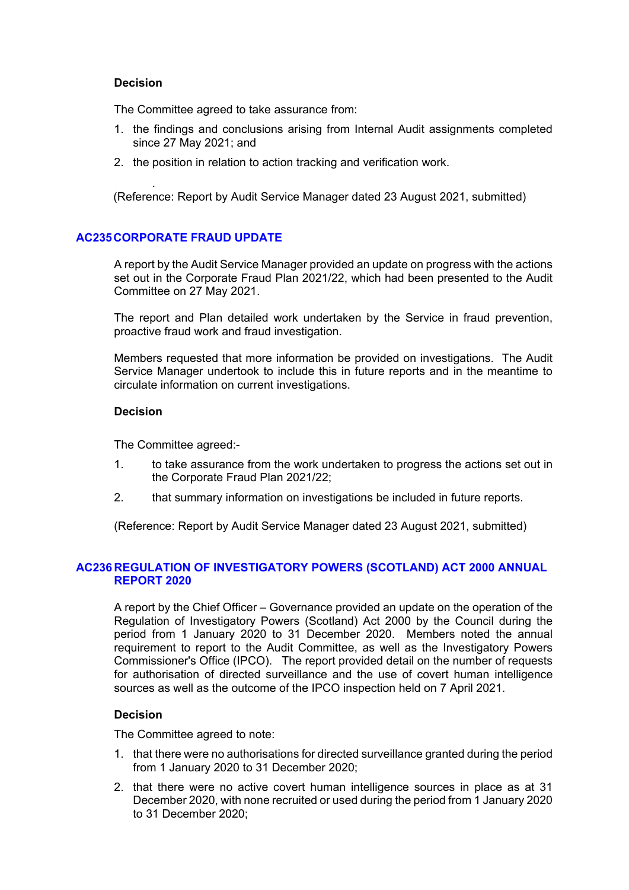### **Decision**

The Committee agreed to take assurance from:

- 1. the findings and conclusions arising from Internal Audit assignments completed since 27 May 2021; and
- 2. the position in relation to action tracking and verification work.

. (Reference: Report by Audit Service Manager dated 23 August 2021, submitted)

# **AC235 CORPORATE FRAUD UPDATE**

A report by the Audit Service Manager provided an update on progress with the actions set out in the Corporate Fraud Plan 2021/22, which had been presented to the Audit Committee on 27 May 2021.

The report and Plan detailed work undertaken by the Service in fraud prevention, proactive fraud work and fraud investigation.

Members requested that more information be provided on investigations. The Audit Service Manager undertook to include this in future reports and in the meantime to circulate information on current investigations.

# **Decision**

The Committee agreed:-

- 1. to take assurance from the work undertaken to progress the actions set out in the Corporate Fraud Plan 2021/22;
- 2. that summary information on investigations be included in future reports.

(Reference: Report by Audit Service Manager dated 23 August 2021, submitted)

# **AC236 REGULATION OF INVESTIGATORY POWERS (SCOTLAND) ACT 2000 ANNUAL REPORT 2020**

A report by the Chief Officer – Governance provided an update on the operation of the Regulation of Investigatory Powers (Scotland) Act 2000 by the Council during the period from 1 January 2020 to 31 December 2020. Members noted the annual requirement to report to the Audit Committee, as well as the Investigatory Powers Commissioner's Office (IPCO). The report provided detail on the number of requests for authorisation of directed surveillance and the use of covert human intelligence sources as well as the outcome of the IPCO inspection held on 7 April 2021.

# **Decision**

The Committee agreed to note:

- 1. that there were no authorisations for directed surveillance granted during the period from 1 January 2020 to 31 December 2020;
- 2. that there were no active covert human intelligence sources in place as at 31 December 2020, with none recruited or used during the period from 1 January 2020 to 31 December 2020;